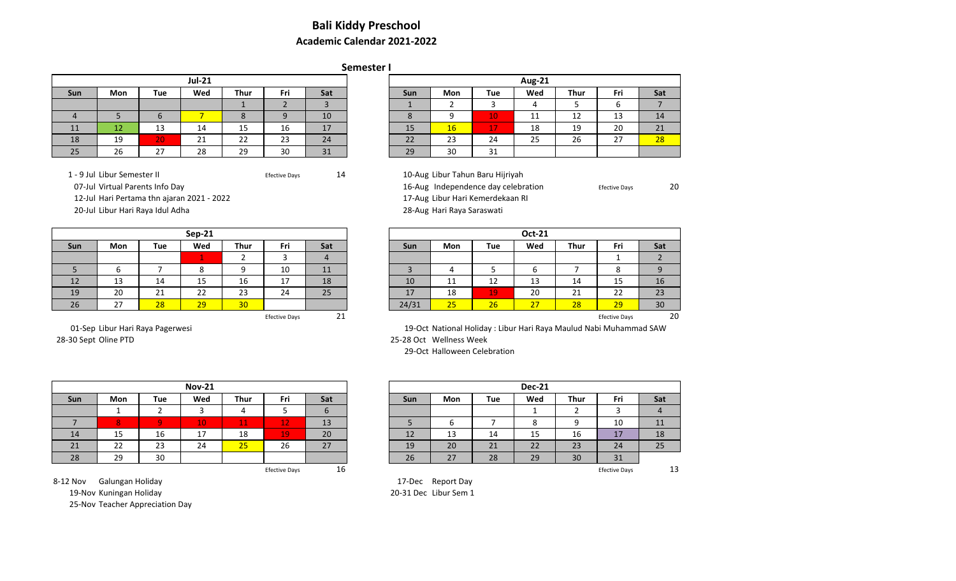## **Bali Kiddy Preschool Academic Calendar 2021-2022**

## **Semester I**

|          |                                                |                     | <b>Jul-21</b> |    |    |    |  |                    |                    |     | <b>Aug-21</b>                |      |         |  |
|----------|------------------------------------------------|---------------------|---------------|----|----|----|--|--------------------|--------------------|-----|------------------------------|------|---------|--|
| Sun      | Fri<br>Wed<br><b>Thur</b><br>Mon<br>Sat<br>Tue |                     |               |    |    |    |  | Sun                | Mon                | Tue | Wed                          | Thur | Fri     |  |
|          |                                                |                     |               |    |    |    |  |                    |                    |     |                              |      |         |  |
|          |                                                |                     |               |    |    | 10 |  | o<br>$\circ$       |                    | 10. | $\overline{A}$<br><b>. .</b> | 12   | 13      |  |
| 11<br>-- | 12                                             | 13                  | 14            | 15 | 16 | 17 |  | 15                 | 16                 | 17  | 18                           | 19   | 20      |  |
| 18       | 19                                             | 20                  | 21            | 22 | 23 | 24 |  | $\mathbf{a}$<br>22 | $\mathbf{A}$<br>رے | 24  | 25                           | 26   | $\lnot$ |  |
| 25       | 26                                             | $\lnot$<br><u>,</u> | 28            | 29 | 30 | 31 |  | 29                 | 30                 | 31  |                              |      |         |  |

12-Jul Hari Pertama thn ajaran 2021 - 2022 17-Aug Libur Hari Kemerdekaan RI

# 1 - 9 Jul Libur Semester II **Efective Days** Efective Days 14 10-Aug Libur Tahun Baru Hijriyah<br>16-Aug Independence day celebr

16-Aug Independence day celebration **Efective Days** 20

20-Jul Libur Hari Raya Idul Adha 28-Aug Hari Raya Saraswati

|            |          |     | <b>Sep-21</b> |                 |                            |                |
|------------|----------|-----|---------------|-----------------|----------------------------|----------------|
| <b>Sun</b> | Mon      | Tue | Wed           | Thur            | Fri                        | Sat            |
|            |          |     |               |                 |                            | $\overline{a}$ |
|            | b        |     | $\circ$<br>Ο  | $\Omega$        | 10                         | 11             |
| 12         | 12<br>د⊥ | 14  | 15<br>ᅩJ      | 16              | $\overline{a}$<br><u>д</u> | 18             |
| 19         | 20       | 21  | າາ<br>ᅩ       | 23              | 24                         | 25             |
| 26         | דר<br>27 | 28  | 29            | 30 <sub>o</sub> |                            |                |

28-30 Sept Oline PTD 25-28 Oct Wellness Week

| /ed            | Thur | Fri                  | Sat | Sun   | Mon                            | Tue | Wed | Thur | Fri                  | Sat |
|----------------|------|----------------------|-----|-------|--------------------------------|-----|-----|------|----------------------|-----|
|                |      |                      |     |       |                                |     |     |      |                      |     |
| 8              |      | 10                   | 11  |       |                                |     |     |      |                      |     |
| .5             | 16   | 17                   | 18  | 10    | 11                             | 12  | 13  | 14   | 15                   | 16  |
| $\overline{ }$ | 23   | 24                   | 25  | 17    | 18                             | 19  | 20  | 21   | 22                   | 23  |
| ۱q             | 30   |                      |     | 24/31 | $\overline{\phantom{a}}$<br>25 | 26  | 27  | 28   | 29                   | 30  |
|                |      | <b>Efective Days</b> | ᅀ   |       |                                |     |     |      | <b>Efective Days</b> | 20  |

01-Sep Libur Hari Raya Pagerwesi 19-Oct National Holiday : Libur Hari Raya Maulud Nabi Muhammad SAW

29-Oct Halloween Celebration

|     | <b>Nov-21</b> |     |     |                |                      |     |  |  |
|-----|---------------|-----|-----|----------------|----------------------|-----|--|--|
| Sun | Mon           | Tue | Wed | <b>Thur</b>    | Fri                  | Sat |  |  |
|     |               |     |     |                |                      | O   |  |  |
|     | 8             |     | 10. | <b>Part 19</b> | 1つ<br>-44            | 13  |  |  |
| 14  | 15            | 16  | 17  | 18             | 19,                  | 20  |  |  |
| 21  | 22            | 23  | 24  | 25             | 26                   | 27  |  |  |
| 28  | 29            | 30  |     |                |                      |     |  |  |
|     |               |     |     |                | <b>Efective Days</b> | 16  |  |  |

|     |     | <b>Nov-21</b> |             |     |     |            |     |     | <b>Dec-21</b> |             |           |       |
|-----|-----|---------------|-------------|-----|-----|------------|-----|-----|---------------|-------------|-----------|-------|
| on  | Tue | Wed           | <b>Thur</b> | Fri | Sat | <b>Sun</b> | Mon | Tue | Wed           | <b>Thur</b> | Fri       | Sat   |
|     |     |               | Δ           |     |     |            |     |     |               |             |           | $\mu$ |
|     |     | 10            | 11          | 12  | 13  |            |     |     |               |             | 10        | 11    |
|     | 16  | 17            | 18          | 19  | 20  | 12         | 13  | 14  | 15            | 16          | 17<br>. . | 18    |
| ▃   | 23  | 24            | 25          | 26  | 27  | 19         | 20  | 21  | 22            | 23          | 24        | 25    |
| 29. | 30  |               |             |     |     | 26         | 27  | 28  | 29            | 30          | 31        |       |

8-12 Nov Galungan Holiday 17-Dec Report Day 19-Nov Kuningan Holiday 20-31 Dec Libur Sem 1 25-Nov Teacher Appreciation Day